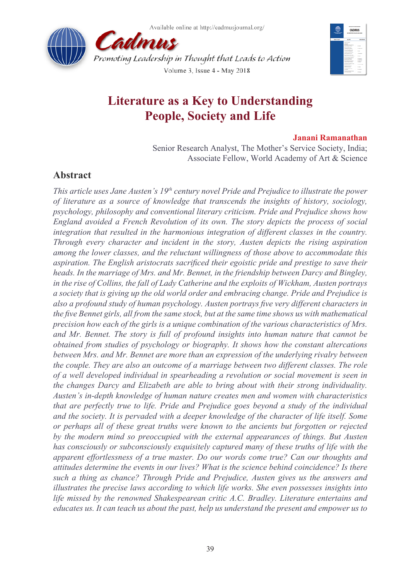



# **Literature as a Key to Understanding People, Society and Life**

### **Janani Ramanathan**

Senior Research Analyst, The Mother's Service Society, India; Associate Fellow, World Academy of Art & Science

## **Abstract**

*This article uses Jane Austen's 19th century novel Pride and Prejudice to illustrate the power of literature as a source of knowledge that transcends the insights of history, sociology, psychology, philosophy and conventional literary criticism. Pride and Prejudice shows how England avoided a French Revolution of its own. The story depicts the process of social integration that resulted in the harmonious integration of different classes in the country. Through every character and incident in the story, Austen depicts the rising aspiration among the lower classes, and the reluctant willingness of those above to accommodate this aspiration. The English aristocrats sacrificed their egoistic pride and prestige to save their heads. In the marriage of Mrs. and Mr. Bennet, in the friendship between Darcy and Bingley, in the rise of Collins, the fall of Lady Catherine and the exploits of Wickham, Austen portrays a society that is giving up the old world order and embracing change. Pride and Prejudice is also a profound study of human psychology. Austen portrays five very different characters in the five Bennet girls, all from the same stock, but at the same time shows us with mathematical precision how each of the girls is a unique combination of the various characteristics of Mrs. and Mr. Bennet. The story is full of profound insights into human nature that cannot be obtained from studies of psychology or biography. It shows how the constant altercations between Mrs. and Mr. Bennet are more than an expression of the underlying rivalry between the couple. They are also an outcome of a marriage between two different classes. The role of a well developed individual in spearheading a revolution or social movement is seen in the changes Darcy and Elizabeth are able to bring about with their strong individuality. Austen's in-depth knowledge of human nature creates men and women with characteristics that are perfectly true to life. Pride and Prejudice goes beyond a study of the individual and the society. It is pervaded with a deeper knowledge of the character of life itself. Some or perhaps all of these great truths were known to the ancients but forgotten or rejected by the modern mind so preoccupied with the external appearances of things. But Austen has consciously or subconsciously exquisitely captured many of these truths of life with the apparent effortlessness of a true master. Do our words come true? Can our thoughts and attitudes determine the events in our lives? What is the science behind coincidence? Is there such a thing as chance? Through Pride and Prejudice, Austen gives us the answers and illustrates the precise laws according to which life works. She even possesses insights into life missed by the renowned Shakespearean critic A.C. Bradley. Literature entertains and educates us. It can teach us about the past, help us understand the present and empower us to*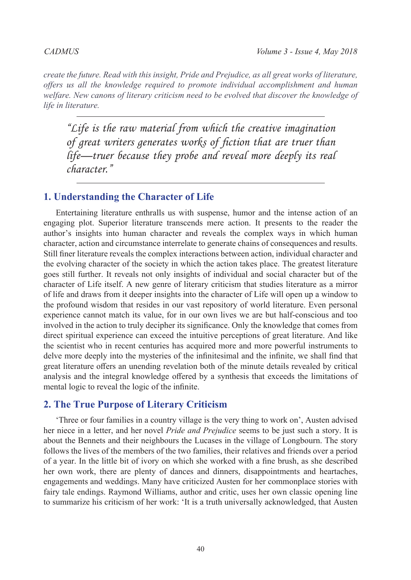*create the future. Read with this insight, Pride and Prejudice, as all great works of literature, offers us all the knowledge required to promote individual accomplishment and human welfare. New canons of literary criticism need to be evolved that discover the knowledge of life in literature.*

*"Life is the raw material from which the creative imagination of great writers generates works of fiction that are truer than life—truer because they probe and reveal more deeply its real character."*

### **1. Understanding the Character of Life**

Entertaining literature enthralls us with suspense, humor and the intense action of an engaging plot. Superior literature transcends mere action. It presents to the reader the author's insights into human character and reveals the complex ways in which human character, action and circumstance interrelate to generate chains of consequences and results. Still finer literature reveals the complex interactions between action, individual character and the evolving character of the society in which the action takes place. The greatest literature goes still further. It reveals not only insights of individual and social character but of the character of Life itself. A new genre of literary criticism that studies literature as a mirror of life and draws from it deeper insights into the character of Life will open up a window to the profound wisdom that resides in our vast repository of world literature. Even personal experience cannot match its value, for in our own lives we are but half-conscious and too involved in the action to truly decipher its significance. Only the knowledge that comes from direct spiritual experience can exceed the intuitive perceptions of great literature. And like the scientist who in recent centuries has acquired more and more powerful instruments to delve more deeply into the mysteries of the infinitesimal and the infinite, we shall find that great literature offers an unending revelation both of the minute details revealed by critical analysis and the integral knowledge offered by a synthesis that exceeds the limitations of mental logic to reveal the logic of the infinite.

### **2. The True Purpose of Literary Criticism**

'Three or four families in a country village is the very thing to work on', Austen advised her niece in a letter, and her novel *Pride and Prejudice* seems to be just such a story. It is about the Bennets and their neighbours the Lucases in the village of Longbourn. The story follows the lives of the members of the two families, their relatives and friends over a period of a year. In the little bit of ivory on which she worked with a fine brush, as she described her own work, there are plenty of dances and dinners, disappointments and heartaches, engagements and weddings. Many have criticized Austen for her commonplace stories with fairy tale endings. Raymond Williams, author and critic, uses her own classic opening line to summarize his criticism of her work: 'It is a truth universally acknowledged, that Austen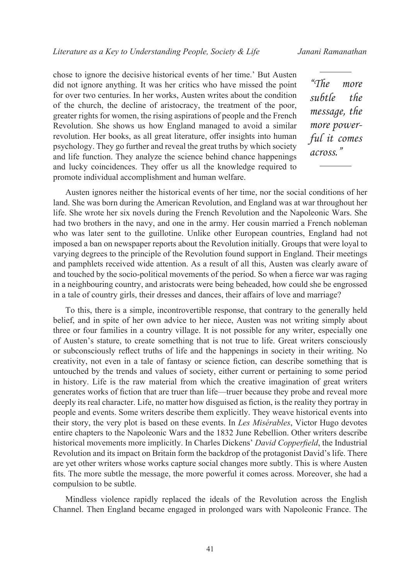chose to ignore the decisive historical events of her time.' But Austen did not ignore anything. It was her critics who have missed the point for over two centuries. In her works, Austen writes about the condition of the church, the decline of aristocracy, the treatment of the poor, greater rights for women, the rising aspirations of people and the French Revolution. She shows us how England managed to avoid a similar revolution. Her books, as all great literature, offer insights into human psychology. They go further and reveal the great truths by which society and life function. They analyze the science behind chance happenings and lucky coincidences. They offer us all the knowledge required to promote individual accomplishment and human welfare.

*"The more subtle the message, the more powerful it comes across."*

Austen ignores neither the historical events of her time, nor the social conditions of her land. She was born during the American Revolution, and England was at war throughout her life. She wrote her six novels during the French Revolution and the Napoleonic Wars. She had two brothers in the navy, and one in the army. Her cousin married a French nobleman who was later sent to the guillotine. Unlike other European countries, England had not imposed a ban on newspaper reports about the Revolution initially. Groups that were loyal to varying degrees to the principle of the Revolution found support in England. Their meetings and pamphlets received wide attention. As a result of all this, Austen was clearly aware of and touched by the socio-political movements of the period. So when a fierce war was raging in a neighbouring country, and aristocrats were being beheaded, how could she be engrossed in a tale of country girls, their dresses and dances, their affairs of love and marriage?

To this, there is a simple, incontrovertible response, that contrary to the generally held belief, and in spite of her own advice to her niece, Austen was not writing simply about three or four families in a country village. It is not possible for any writer, especially one of Austen's stature, to create something that is not true to life. Great writers consciously or subconsciously reflect truths of life and the happenings in society in their writing. No creativity, not even in a tale of fantasy or science fiction, can describe something that is untouched by the trends and values of society, either current or pertaining to some period in history. Life is the raw material from which the creative imagination of great writers generates works of fiction that are truer than life—truer because they probe and reveal more deeply its real character. Life, no matter how disguised as fiction, is the reality they portray in people and events. Some writers describe them explicitly. They weave historical events into their story, the very plot is based on these events. In *Les Misérables*, Victor Hugo devotes entire chapters to the Napoleonic Wars and the 1832 June Rebellion. Other writers describe historical movements more implicitly. In Charles Dickens' *David Copperfield*, the Industrial Revolution and its impact on Britain form the backdrop of the protagonist David's life. There are yet other writers whose works capture social changes more subtly. This is where Austen fits. The more subtle the message, the more powerful it comes across. Moreover, she had a compulsion to be subtle.

Mindless violence rapidly replaced the ideals of the Revolution across the English Channel. Then England became engaged in prolonged wars with Napoleonic France. The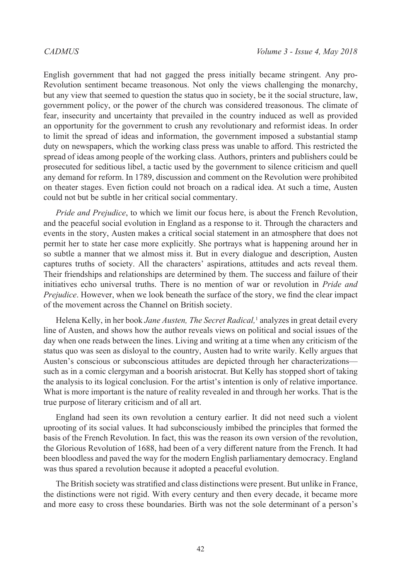English government that had not gagged the press initially became stringent. Any pro-Revolution sentiment became treasonous. Not only the views challenging the monarchy, but any view that seemed to question the status quo in society, be it the social structure, law, government policy, or the power of the church was considered treasonous. The climate of fear, insecurity and uncertainty that prevailed in the country induced as well as provided an opportunity for the government to crush any revolutionary and reformist ideas. In order to limit the spread of ideas and information, the government imposed a substantial stamp duty on newspapers, which the working class press was unable to afford. This restricted the spread of ideas among people of the working class. Authors, printers and publishers could be prosecuted for seditious libel, a tactic used by the government to silence criticism and quell any demand for reform. In 1789, discussion and comment on the Revolution were prohibited on theater stages. Even fiction could not broach on a radical idea. At such a time, Austen could not but be subtle in her critical social commentary.

*Pride and Prejudice*, to which we limit our focus here, is about the French Revolution, and the peaceful social evolution in England as a response to it. Through the characters and events in the story, Austen makes a critical social statement in an atmosphere that does not permit her to state her case more explicitly. She portrays what is happening around her in so subtle a manner that we almost miss it. But in every dialogue and description, Austen captures truths of society. All the characters' aspirations, attitudes and acts reveal them. Their friendships and relationships are determined by them. The success and failure of their initiatives echo universal truths. There is no mention of war or revolution in *Pride and Prejudice*. However, when we look beneath the surface of the story, we find the clear impact of the movement across the Channel on British society.

Helena Kelly, in her book *Jane Austen, The Secret Radical,*[1](#page-17-0) analyzes in great detail every line of Austen, and shows how the author reveals views on political and social issues of the day when one reads between the lines. Living and writing at a time when any criticism of the status quo was seen as disloyal to the country, Austen had to write warily. Kelly argues that Austen's conscious or subconscious attitudes are depicted through her characterizations such as in a comic clergyman and a boorish aristocrat. But Kelly has stopped short of taking the analysis to its logical conclusion. For the artist's intention is only of relative importance. What is more important is the nature of reality revealed in and through her works. That is the true purpose of literary criticism and of all art.

England had seen its own revolution a century earlier. It did not need such a violent uprooting of its social values. It had subconsciously imbibed the principles that formed the basis of the French Revolution. In fact, this was the reason its own version of the revolution, the Glorious Revolution of 1688, had been of a very different nature from the French. It had been bloodless and paved the way for the modern English parliamentary democracy. England was thus spared a revolution because it adopted a peaceful evolution.

The British society was stratified and class distinctions were present. But unlike in France, the distinctions were not rigid. With every century and then every decade, it became more and more easy to cross these boundaries. Birth was not the sole determinant of a person's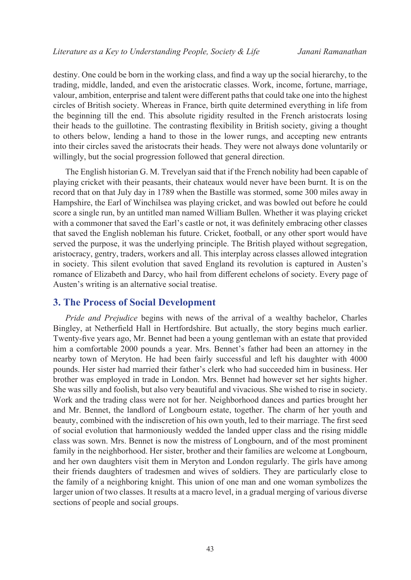destiny. One could be born in the working class, and find a way up the social hierarchy, to the trading, middle, landed, and even the aristocratic classes. Work, income, fortune, marriage, valour, ambition, enterprise and talent were different paths that could take one into the highest circles of British society. Whereas in France, birth quite determined everything in life from the beginning till the end. This absolute rigidity resulted in the French aristocrats losing their heads to the guillotine. The contrasting flexibility in British society, giving a thought to others below, lending a hand to those in the lower rungs, and accepting new entrants into their circles saved the aristocrats their heads. They were not always done voluntarily or willingly, but the social progression followed that general direction.

The English historian G. M. Trevelyan said that if the French nobility had been capable of playing cricket with their peasants, their chateaux would never have been burnt. It is on the record that on that July day in 1789 when the Bastille was stormed, some 300 miles away in Hampshire, the Earl of Winchilsea was playing cricket, and was bowled out before he could score a single run, by an untitled man named William Bullen. Whether it was playing cricket with a commoner that saved the Earl's castle or not, it was definitely embracing other classes that saved the English nobleman his future. Cricket, football, or any other sport would have served the purpose, it was the underlying principle. The British played without segregation, aristocracy, gentry, traders, workers and all. This interplay across classes allowed integration in society. This silent evolution that saved England its revolution is captured in Austen's romance of Elizabeth and Darcy, who hail from different echelons of society. Every page of Austen's writing is an alternative social treatise.

### **3. The Process of Social Development**

*Pride and Prejudice* begins with news of the arrival of a wealthy bachelor, Charles Bingley, at Netherfield Hall in Hertfordshire. But actually, the story begins much earlier. Twenty-five years ago, Mr. Bennet had been a young gentleman with an estate that provided him a comfortable 2000 pounds a year. Mrs. Bennet's father had been an attorney in the nearby town of Meryton. He had been fairly successful and left his daughter with 4000 pounds. Her sister had married their father's clerk who had succeeded him in business. Her brother was employed in trade in London. Mrs. Bennet had however set her sights higher. She was silly and foolish, but also very beautiful and vivacious. She wished to rise in society. Work and the trading class were not for her. Neighborhood dances and parties brought her and Mr. Bennet, the landlord of Longbourn estate, together. The charm of her youth and beauty, combined with the indiscretion of his own youth, led to their marriage. The first seed of social evolution that harmoniously wedded the landed upper class and the rising middle class was sown. Mrs. Bennet is now the mistress of Longbourn, and of the most prominent family in the neighborhood. Her sister, brother and their families are welcome at Longbourn, and her own daughters visit them in Meryton and London regularly. The girls have among their friends daughters of tradesmen and wives of soldiers. They are particularly close to the family of a neighboring knight. This union of one man and one woman symbolizes the larger union of two classes. It results at a macro level, in a gradual merging of various diverse sections of people and social groups.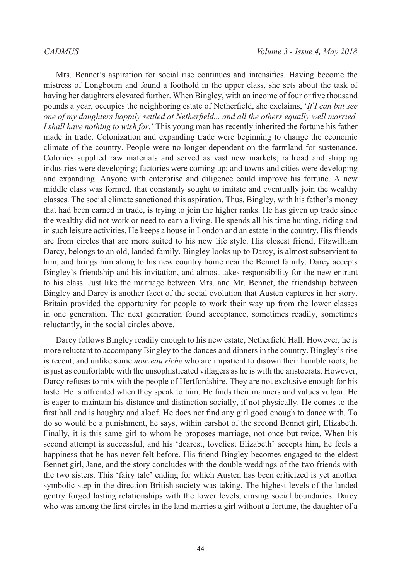Mrs. Bennet's aspiration for social rise continues and intensifies. Having become the mistress of Longbourn and found a foothold in the upper class, she sets about the task of having her daughters elevated further. When Bingley, with an income of four or five thousand pounds a year, occupies the neighboring estate of Netherfield, she exclaims, '*If I can but see one of my daughters happily settled at Netherfield... and all the others equally well married, I shall have nothing to wish for*.' This young man has recently inherited the fortune his father made in trade. Colonization and expanding trade were beginning to change the economic climate of the country. People were no longer dependent on the farmland for sustenance. Colonies supplied raw materials and served as vast new markets; railroad and shipping industries were developing; factories were coming up; and towns and cities were developing and expanding. Anyone with enterprise and diligence could improve his fortune. A new middle class was formed, that constantly sought to imitate and eventually join the wealthy classes. The social climate sanctioned this aspiration. Thus, Bingley, with his father's money that had been earned in trade, is trying to join the higher ranks. He has given up trade since the wealthy did not work or need to earn a living. He spends all his time hunting, riding and in such leisure activities. He keeps a house in London and an estate in the country. His friends are from circles that are more suited to his new life style. His closest friend, Fitzwilliam Darcy, belongs to an old, landed family. Bingley looks up to Darcy, is almost subservient to him, and brings him along to his new country home near the Bennet family. Darcy accepts Bingley's friendship and his invitation, and almost takes responsibility for the new entrant to his class. Just like the marriage between Mrs. and Mr. Bennet, the friendship between Bingley and Darcy is another facet of the social evolution that Austen captures in her story. Britain provided the opportunity for people to work their way up from the lower classes in one generation. The next generation found acceptance, sometimes readily, sometimes reluctantly, in the social circles above.

Darcy follows Bingley readily enough to his new estate, Netherfield Hall. However, he is more reluctant to accompany Bingley to the dances and dinners in the country. Bingley's rise is recent, and unlike some *nouveau riche* who are impatient to disown their humble roots, he is just as comfortable with the unsophisticated villagers as he is with the aristocrats. However, Darcy refuses to mix with the people of Hertfordshire. They are not exclusive enough for his taste. He is affronted when they speak to him. He finds their manners and values vulgar. He is eager to maintain his distance and distinction socially, if not physically. He comes to the first ball and is haughty and aloof. He does not find any girl good enough to dance with. To do so would be a punishment, he says, within earshot of the second Bennet girl, Elizabeth. Finally, it is this same girl to whom he proposes marriage, not once but twice. When his second attempt is successful, and his 'dearest, loveliest Elizabeth' accepts him, he feels a happiness that he has never felt before. His friend Bingley becomes engaged to the eldest Bennet girl, Jane, and the story concludes with the double weddings of the two friends with the two sisters. This 'fairy tale' ending for which Austen has been criticized is yet another symbolic step in the direction British society was taking. The highest levels of the landed gentry forged lasting relationships with the lower levels, erasing social boundaries. Darcy who was among the first circles in the land marries a girl without a fortune, the daughter of a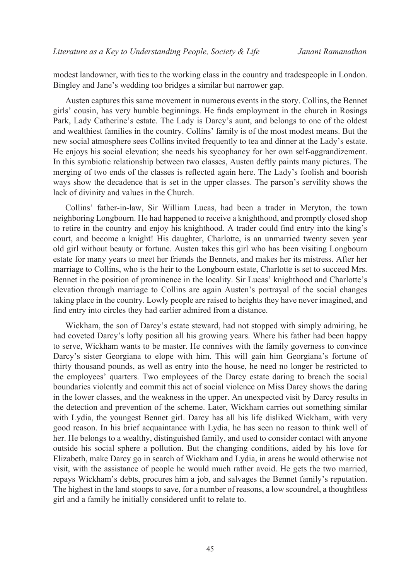modest landowner, with ties to the working class in the country and tradespeople in London. Bingley and Jane's wedding too bridges a similar but narrower gap.

Austen captures this same movement in numerous events in the story. Collins, the Bennet girls' cousin, has very humble beginnings. He finds employment in the church in Rosings Park, Lady Catherine's estate. The Lady is Darcy's aunt, and belongs to one of the oldest and wealthiest families in the country. Collins' family is of the most modest means. But the new social atmosphere sees Collins invited frequently to tea and dinner at the Lady's estate. He enjoys his social elevation; she needs his sycophancy for her own self-aggrandizement. In this symbiotic relationship between two classes, Austen deftly paints many pictures. The merging of two ends of the classes is reflected again here. The Lady's foolish and boorish ways show the decadence that is set in the upper classes. The parson's servility shows the lack of divinity and values in the Church.

Collins' father-in-law, Sir William Lucas, had been a trader in Meryton, the town neighboring Longbourn. He had happened to receive a knighthood, and promptly closed shop to retire in the country and enjoy his knighthood. A trader could find entry into the king's court, and become a knight! His daughter, Charlotte, is an unmarried twenty seven year old girl without beauty or fortune. Austen takes this girl who has been visiting Longbourn estate for many years to meet her friends the Bennets, and makes her its mistress. After her marriage to Collins, who is the heir to the Longbourn estate, Charlotte is set to succeed Mrs. Bennet in the position of prominence in the locality. Sir Lucas' knighthood and Charlotte's elevation through marriage to Collins are again Austen's portrayal of the social changes taking place in the country. Lowly people are raised to heights they have never imagined, and find entry into circles they had earlier admired from a distance.

Wickham, the son of Darcy's estate steward, had not stopped with simply admiring, he had coveted Darcy's lofty position all his growing years. Where his father had been happy to serve, Wickham wants to be master. He connives with the family governess to convince Darcy's sister Georgiana to elope with him. This will gain him Georgiana's fortune of thirty thousand pounds, as well as entry into the house, he need no longer be restricted to the employees' quarters. Two employees of the Darcy estate daring to breach the social boundaries violently and commit this act of social violence on Miss Darcy shows the daring in the lower classes, and the weakness in the upper. An unexpected visit by Darcy results in the detection and prevention of the scheme. Later, Wickham carries out something similar with Lydia, the youngest Bennet girl. Darcy has all his life disliked Wickham, with very good reason. In his brief acquaintance with Lydia, he has seen no reason to think well of her. He belongs to a wealthy, distinguished family, and used to consider contact with anyone outside his social sphere a pollution. But the changing conditions, aided by his love for Elizabeth, make Darcy go in search of Wickham and Lydia, in areas he would otherwise not visit, with the assistance of people he would much rather avoid. He gets the two married, repays Wickham's debts, procures him a job, and salvages the Bennet family's reputation. The highest in the land stoops to save, for a number of reasons, a low scoundrel, a thoughtless girl and a family he initially considered unfit to relate to.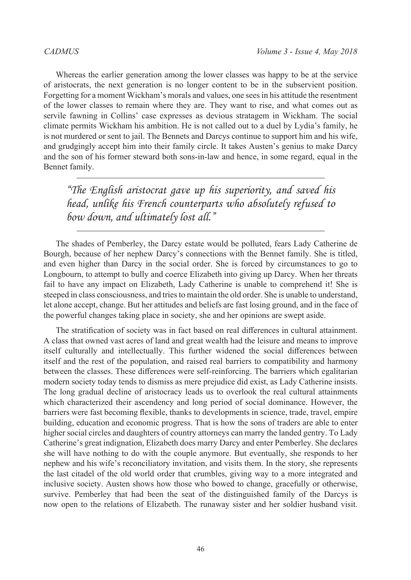Whereas the earlier generation among the lower classes was happy to be at the service of aristocrats, the next generation is no longer content to be in the subservient position. Forgetting for a moment Wickham's morals and values, one sees in his attitude the resentment of the lower classes to remain where they are. They want to rise, and what comes out as servile fawning in Collins' case expresses as devious stratagem in Wickham. The social climate permits Wickham his ambition. He is not called out to a duel by Lydia's family, he is not murdered or sent to jail. The Bennets and Darcys continue to support him and his wife, and grudgingly accept him into their family circle. It takes Austen's genius to make Darcy and the son of his former steward both sons-in-law and hence, in some regard, equal in the Bennet family.

*"The English aristocrat gave up his superiority, and saved his head, unlike his French counterparts who absolutely refused to bow down, and ultimately lost all."*

The shades of Pemberley, the Darcy estate would be polluted, fears Lady Catherine de Bourgh, because of her nephew Darcy's connections with the Bennet family. She is titled, and even higher than Darcy in the social order. She is forced by circumstances to go to Longbourn, to attempt to bully and coerce Elizabeth into giving up Darcy. When her threats fail to have any impact on Elizabeth, Lady Catherine is unable to comprehend it! She is steeped in class consciousness, and tries to maintain the old order. She is unable to understand, let alone accept, change. But her attitudes and beliefs are fast losing ground, and in the face of the powerful changes taking place in society, she and her opinions are swept aside.

The stratification of society was in fact based on real differences in cultural attainment. A class that owned vast acres of land and great wealth had the leisure and means to improve itself culturally and intellectually. This further widened the social differences between itself and the rest of the population, and raised real barriers to compatibility and harmony between the classes. These differences were self-reinforcing. The barriers which egalitarian modern society today tends to dismiss as mere prejudice did exist, as Lady Catherine insists. The long gradual decline of aristocracy leads us to overlook the real cultural attainments which characterized their ascendency and long period of social dominance. However, the barriers were fast becoming flexible, thanks to developments in science, trade, travel, empire building, education and economic progress. That is how the sons of traders are able to enter higher social circles and daughters of country attorneys can marry the landed gentry. To Lady Catherine's great indignation, Elizabeth does marry Darcy and enter Pemberley. She declares she will have nothing to do with the couple anymore. But eventually, she responds to her nephew and his wife's reconciliatory invitation, and visits them. In the story, she represents the last citadel of the old world order that crumbles, giving way to a more integrated and inclusive society. Austen shows how those who bowed to change, gracefully or otherwise, survive. Pemberley that had been the seat of the distinguished family of the Darcys is now open to the relations of Elizabeth. The runaway sister and her soldier husband visit.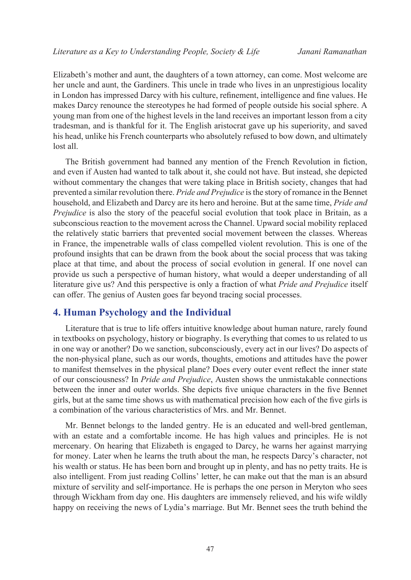Elizabeth's mother and aunt, the daughters of a town attorney, can come. Most welcome are her uncle and aunt, the Gardiners. This uncle in trade who lives in an unprestigious locality in London has impressed Darcy with his culture, refinement, intelligence and fine values. He makes Darcy renounce the stereotypes he had formed of people outside his social sphere. A young man from one of the highest levels in the land receives an important lesson from a city tradesman, and is thankful for it. The English aristocrat gave up his superiority, and saved his head, unlike his French counterparts who absolutely refused to bow down, and ultimately lost all.

The British government had banned any mention of the French Revolution in fiction, and even if Austen had wanted to talk about it, she could not have. But instead, she depicted without commentary the changes that were taking place in British society, changes that had prevented a similar revolution there. *Pride and Prejudice* is the story of romance in the Bennet household, and Elizabeth and Darcy are its hero and heroine. But at the same time, *Pride and Prejudice* is also the story of the peaceful social evolution that took place in Britain, as a subconscious reaction to the movement across the Channel. Upward social mobility replaced the relatively static barriers that prevented social movement between the classes. Whereas in France, the impenetrable walls of class compelled violent revolution. This is one of the profound insights that can be drawn from the book about the social process that was taking place at that time, and about the process of social evolution in general. If one novel can provide us such a perspective of human history, what would a deeper understanding of all literature give us? And this perspective is only a fraction of what *Pride and Prejudice* itself can offer. The genius of Austen goes far beyond tracing social processes.

### **4. Human Psychology and the Individual**

Literature that is true to life offers intuitive knowledge about human nature, rarely found in textbooks on psychology, history or biography. Is everything that comes to us related to us in one way or another? Do we sanction, subconsciously, every act in our lives? Do aspects of the non-physical plane, such as our words, thoughts, emotions and attitudes have the power to manifest themselves in the physical plane? Does every outer event reflect the inner state of our consciousness? In *Pride and Prejudice*, Austen shows the unmistakable connections between the inner and outer worlds. She depicts five unique characters in the five Bennet girls, but at the same time shows us with mathematical precision how each of the five girls is a combination of the various characteristics of Mrs. and Mr. Bennet.

Mr. Bennet belongs to the landed gentry. He is an educated and well-bred gentleman, with an estate and a comfortable income. He has high values and principles. He is not mercenary. On hearing that Elizabeth is engaged to Darcy, he warns her against marrying for money. Later when he learns the truth about the man, he respects Darcy's character, not his wealth or status. He has been born and brought up in plenty, and has no petty traits. He is also intelligent. From just reading Collins' letter, he can make out that the man is an absurd mixture of servility and self-importance. He is perhaps the one person in Meryton who sees through Wickham from day one. His daughters are immensely relieved, and his wife wildly happy on receiving the news of Lydia's marriage. But Mr. Bennet sees the truth behind the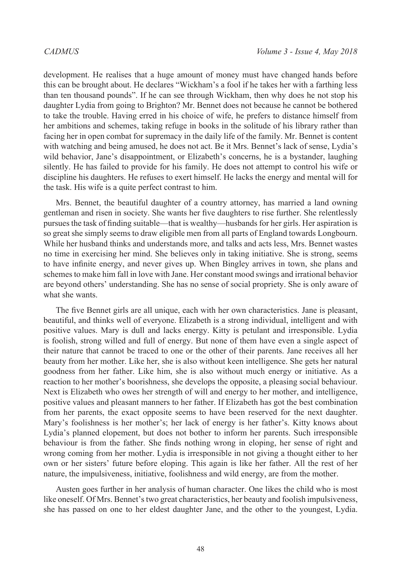development. He realises that a huge amount of money must have changed hands before this can be brought about. He declares "Wickham's a fool if he takes her with a farthing less than ten thousand pounds". If he can see through Wickham, then why does he not stop his daughter Lydia from going to Brighton? Mr. Bennet does not because he cannot be bothered to take the trouble. Having erred in his choice of wife, he prefers to distance himself from her ambitions and schemes, taking refuge in books in the solitude of his library rather than facing her in open combat for supremacy in the daily life of the family. Mr. Bennet is content with watching and being amused, he does not act. Be it Mrs. Bennet's lack of sense, Lydia's wild behavior, Jane's disappointment, or Elizabeth's concerns, he is a bystander, laughing silently. He has failed to provide for his family. He does not attempt to control his wife or discipline his daughters. He refuses to exert himself. He lacks the energy and mental will for the task. His wife is a quite perfect contrast to him.

Mrs. Bennet, the beautiful daughter of a country attorney, has married a land owning gentleman and risen in society. She wants her five daughters to rise further. She relentlessly pursues the task of finding suitable—that is wealthy—husbands for her girls. Her aspiration is so great she simply seems to draw eligible men from all parts of England towards Longbourn. While her husband thinks and understands more, and talks and acts less, Mrs. Bennet wastes no time in exercising her mind. She believes only in taking initiative. She is strong, seems to have infinite energy, and never gives up. When Bingley arrives in town, she plans and schemes to make him fall in love with Jane. Her constant mood swings and irrational behavior are beyond others' understanding. She has no sense of social propriety. She is only aware of what she wants.

The five Bennet girls are all unique, each with her own characteristics. Jane is pleasant, beautiful, and thinks well of everyone. Elizabeth is a strong individual, intelligent and with positive values. Mary is dull and lacks energy. Kitty is petulant and irresponsible. Lydia is foolish, strong willed and full of energy. But none of them have even a single aspect of their nature that cannot be traced to one or the other of their parents. Jane receives all her beauty from her mother. Like her, she is also without keen intelligence. She gets her natural goodness from her father. Like him, she is also without much energy or initiative. As a reaction to her mother's boorishness, she develops the opposite, a pleasing social behaviour. Next is Elizabeth who owes her strength of will and energy to her mother, and intelligence, positive values and pleasant manners to her father. If Elizabeth has got the best combination from her parents, the exact opposite seems to have been reserved for the next daughter. Mary's foolishness is her mother's; her lack of energy is her father's. Kitty knows about Lydia's planned elopement, but does not bother to inform her parents. Such irresponsible behaviour is from the father. She finds nothing wrong in eloping, her sense of right and wrong coming from her mother. Lydia is irresponsible in not giving a thought either to her own or her sisters' future before eloping. This again is like her father. All the rest of her nature, the impulsiveness, initiative, foolishness and wild energy, are from the mother.

Austen goes further in her analysis of human character. One likes the child who is most like oneself. Of Mrs. Bennet's two great characteristics, her beauty and foolish impulsiveness, she has passed on one to her eldest daughter Jane, and the other to the youngest, Lydia.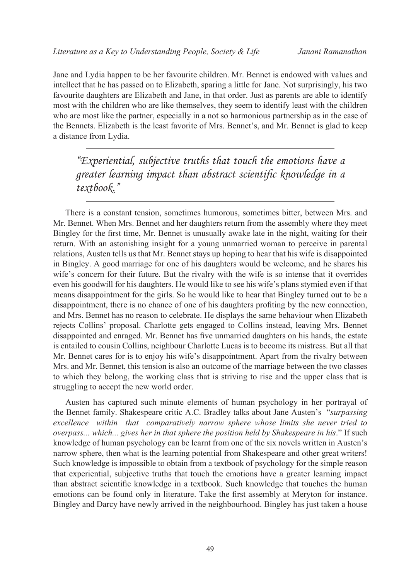Jane and Lydia happen to be her favourite children. Mr. Bennet is endowed with values and intellect that he has passed on to Elizabeth, sparing a little for Jane. Not surprisingly, his two favourite daughters are Elizabeth and Jane, in that order. Just as parents are able to identify most with the children who are like themselves, they seem to identify least with the children who are most like the partner, especially in a not so harmonious partnership as in the case of the Bennets. Elizabeth is the least favorite of Mrs. Bennet's, and Mr. Bennet is glad to keep a distance from Lydia.

*"Experiential, subjective truths that touch the emotions have a greater learning impact than abstract scientific knowledge in a textbook."*

There is a constant tension, sometimes humorous, sometimes bitter, between Mrs. and Mr. Bennet. When Mrs. Bennet and her daughters return from the assembly where they meet Bingley for the first time, Mr. Bennet is unusually awake late in the night, waiting for their return. With an astonishing insight for a young unmarried woman to perceive in parental relations, Austen tells us that Mr. Bennet stays up hoping to hear that his wife is disappointed in Bingley. A good marriage for one of his daughters would be welcome, and he shares his wife's concern for their future. But the rivalry with the wife is so intense that it overrides even his goodwill for his daughters. He would like to see his wife's plans stymied even if that means disappointment for the girls. So he would like to hear that Bingley turned out to be a disappointment, there is no chance of one of his daughters profiting by the new connection, and Mrs. Bennet has no reason to celebrate. He displays the same behaviour when Elizabeth rejects Collins' proposal. Charlotte gets engaged to Collins instead, leaving Mrs. Bennet disappointed and enraged. Mr. Bennet has five unmarried daughters on his hands, the estate is entailed to cousin Collins, neighbour Charlotte Lucas is to become its mistress. But all that Mr. Bennet cares for is to enjoy his wife's disappointment. Apart from the rivalry between Mrs. and Mr. Bennet, this tension is also an outcome of the marriage between the two classes to which they belong, the working class that is striving to rise and the upper class that is struggling to accept the new world order.

Austen has captured such minute elements of human psychology in her portrayal of the Bennet family. Shakespeare critic A.C. Bradley talks about Jane Austen's "*surpassing excellence within that comparatively narrow sphere whose limits she never tried to overpass... which... gives her in that sphere the position held by Shakespeare in his*." If such knowledge of human psychology can be learnt from one of the six novels written in Austen's narrow sphere, then what is the learning potential from Shakespeare and other great writers! Such knowledge is impossible to obtain from a textbook of psychology for the simple reason that experiential, subjective truths that touch the emotions have a greater learning impact than abstract scientific knowledge in a textbook. Such knowledge that touches the human emotions can be found only in literature. Take the first assembly at Meryton for instance. Bingley and Darcy have newly arrived in the neighbourhood. Bingley has just taken a house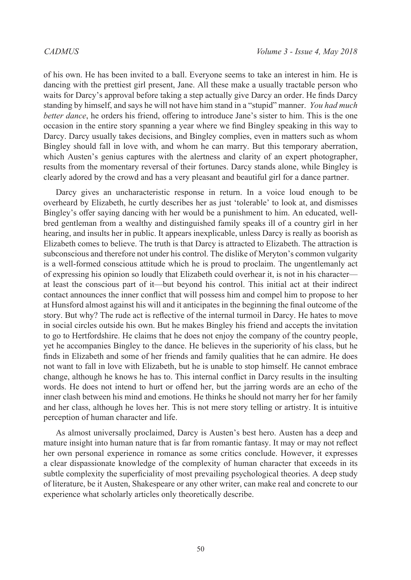of his own. He has been invited to a ball. Everyone seems to take an interest in him. He is dancing with the prettiest girl present, Jane. All these make a usually tractable person who waits for Darcy's approval before taking a step actually give Darcy an order. He finds Darcy standing by himself, and says he will not have him stand in a "stupid" manner. *You had much better dance*, he orders his friend, offering to introduce Jane's sister to him. This is the one occasion in the entire story spanning a year where we find Bingley speaking in this way to Darcy. Darcy usually takes decisions, and Bingley complies, even in matters such as whom Bingley should fall in love with, and whom he can marry. But this temporary aberration, which Austen's genius captures with the alertness and clarity of an expert photographer, results from the momentary reversal of their fortunes. Darcy stands alone, while Bingley is clearly adored by the crowd and has a very pleasant and beautiful girl for a dance partner.

Darcy gives an uncharacteristic response in return. In a voice loud enough to be overheard by Elizabeth, he curtly describes her as just 'tolerable' to look at, and dismisses Bingley's offer saying dancing with her would be a punishment to him. An educated, wellbred gentleman from a wealthy and distinguished family speaks ill of a country girl in her hearing, and insults her in public. It appears inexplicable, unless Darcy is really as boorish as Elizabeth comes to believe. The truth is that Darcy is attracted to Elizabeth. The attraction is subconscious and therefore not under his control. The dislike of Meryton's common vulgarity is a well-formed conscious attitude which he is proud to proclaim. The ungentlemanly act of expressing his opinion so loudly that Elizabeth could overhear it, is not in his character at least the conscious part of it—but beyond his control. This initial act at their indirect contact announces the inner conflict that will possess him and compel him to propose to her at Hunsford almost against his will and it anticipates in the beginning the final outcome of the story. But why? The rude act is reflective of the internal turmoil in Darcy. He hates to move in social circles outside his own. But he makes Bingley his friend and accepts the invitation to go to Hertfordshire. He claims that he does not enjoy the company of the country people, yet he accompanies Bingley to the dance. He believes in the superiority of his class, but he finds in Elizabeth and some of her friends and family qualities that he can admire. He does not want to fall in love with Elizabeth, but he is unable to stop himself. He cannot embrace change, although he knows he has to. This internal conflict in Darcy results in the insulting words. He does not intend to hurt or offend her, but the jarring words are an echo of the inner clash between his mind and emotions. He thinks he should not marry her for her family and her class, although he loves her. This is not mere story telling or artistry. It is intuitive perception of human character and life.

As almost universally proclaimed, Darcy is Austen's best hero. Austen has a deep and mature insight into human nature that is far from romantic fantasy. It may or may not reflect her own personal experience in romance as some critics conclude. However, it expresses a clear dispassionate knowledge of the complexity of human character that exceeds in its subtle complexity the superficiality of most prevailing psychological theories. A deep study of literature, be it Austen, Shakespeare or any other writer, can make real and concrete to our experience what scholarly articles only theoretically describe.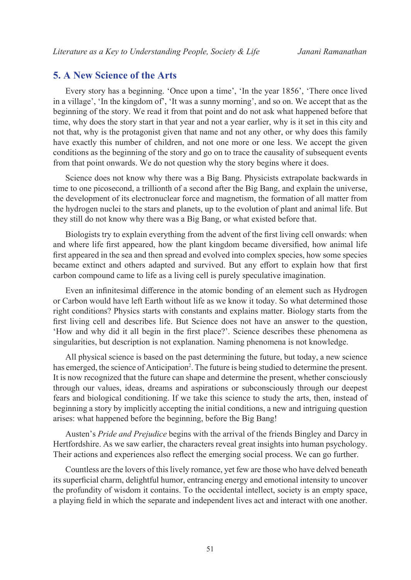### **5. A New Science of the Arts**

Every story has a beginning. 'Once upon a time', 'In the year 1856', 'There once lived in a village', 'In the kingdom of', 'It was a sunny morning', and so on. We accept that as the beginning of the story. We read it from that point and do not ask what happened before that time, why does the story start in that year and not a year earlier, why is it set in this city and not that, why is the protagonist given that name and not any other, or why does this family have exactly this number of children, and not one more or one less. We accept the given conditions as the beginning of the story and go on to trace the causality of subsequent events from that point onwards. We do not question why the story begins where it does.

Science does not know why there was a Big Bang. Physicists extrapolate backwards in time to one picosecond, a trillionth of a second after the Big Bang, and explain the universe, the development of its electronuclear force and magnetism, the formation of all matter from the hydrogen nuclei to the stars and planets, up to the evolution of plant and animal life. But they still do not know why there was a Big Bang, or what existed before that.

Biologists try to explain everything from the advent of the first living cell onwards: when and where life first appeared, how the plant kingdom became diversified, how animal life first appeared in the sea and then spread and evolved into complex species, how some species became extinct and others adapted and survived. But any effort to explain how that first carbon compound came to life as a living cell is purely speculative imagination.

Even an infinitesimal difference in the atomic bonding of an element such as Hydrogen or Carbon would have left Earth without life as we know it today. So what determined those right conditions? Physics starts with constants and explains matter. Biology starts from the first living cell and describes life. But Science does not have an answer to the question, 'How and why did it all begin in the first place?'. Science describes these phenomena as singularities, but description is not explanation. Naming phenomena is not knowledge.

All physical science is based on the past determining the future, but today, a new science has emerged, the science of Anticipation<sup>2</sup>. The future is being studied to determine the present. It is now recognized that the future can shape and determine the present, whether consciously through our values, ideas, dreams and aspirations or subconsciously through our deepest fears and biological conditioning. If we take this science to study the arts, then, instead of beginning a story by implicitly accepting the initial conditions, a new and intriguing question arises: what happened before the beginning, before the Big Bang!

Austen's *Pride and Prejudice* begins with the arrival of the friends Bingley and Darcy in Hertfordshire. As we saw earlier, the characters reveal great insights into human psychology. Their actions and experiences also reflect the emerging social process. We can go further.

Countless are the lovers of this lively romance, yet few are those who have delved beneath its superficial charm, delightful humor, entrancing energy and emotional intensity to uncover the profundity of wisdom it contains. To the occidental intellect, society is an empty space, a playing field in which the separate and independent lives act and interact with one another.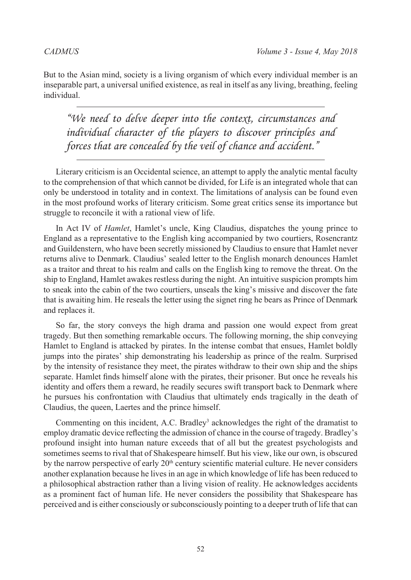But to the Asian mind, society is a living organism of which every individual member is an inseparable part, a universal unified existence, as real in itself as any living, breathing, feeling individual.

*"We need to delve deeper into the context, circumstances and individual character of the players to discover principles and forces that are concealed by the veil of chance and accident."*

Literary criticism is an Occidental science, an attempt to apply the analytic mental faculty to the comprehension of that which cannot be divided, for Life is an integrated whole that can only be understood in totality and in context. The limitations of analysis can be found even in the most profound works of literary criticism. Some great critics sense its importance but struggle to reconcile it with a rational view of life.

In Act IV of *Hamlet*, Hamlet's uncle, King Claudius, dispatches the young prince to England as a representative to the English king accompanied by two courtiers, Rosencrantz and Guildenstern, who have been secretly missioned by Claudius to ensure that Hamlet never returns alive to Denmark. Claudius' sealed letter to the English monarch denounces Hamlet as a traitor and threat to his realm and calls on the English king to remove the threat. On the ship to England, Hamlet awakes restless during the night. An intuitive suspicion prompts him to sneak into the cabin of the two courtiers, unseals the king's missive and discover the fate that is awaiting him. He reseals the letter using the signet ring he bears as Prince of Denmark and replaces it.

So far, the story conveys the high drama and passion one would expect from great tragedy. But then something remarkable occurs. The following morning, the ship conveying Hamlet to England is attacked by pirates. In the intense combat that ensues, Hamlet boldly jumps into the pirates' ship demonstrating his leadership as prince of the realm. Surprised by the intensity of resistance they meet, the pirates withdraw to their own ship and the ships separate. Hamlet finds himself alone with the pirates, their prisoner. But once he reveals his identity and offers them a reward, he readily secures swift transport back to Denmark where he pursues his confrontation with Claudius that ultimately ends tragically in the death of Claudius, the queen, Laertes and the prince himself.

Commenting on this incident, A.C. Bradley<sup>3</sup> acknowledges the right of the dramatist to employ dramatic device reflecting the admission of chance in the course of tragedy. Bradley's profound insight into human nature exceeds that of all but the greatest psychologists and sometimes seems to rival that of Shakespeare himself. But his view, like our own, is obscured by the narrow perspective of early  $20<sup>th</sup>$  century scientific material culture. He never considers another explanation because he lives in an age in which knowledge of life has been reduced to a philosophical abstraction rather than a living vision of reality. He acknowledges accidents as a prominent fact of human life. He never considers the possibility that Shakespeare has perceived and is either consciously or subconsciously pointing to a deeper truth of life that can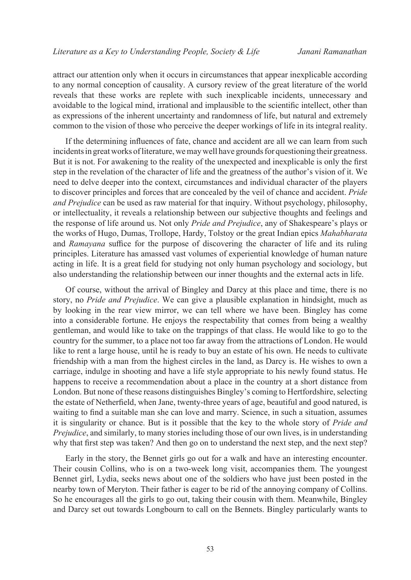attract our attention only when it occurs in circumstances that appear inexplicable according to any normal conception of causality. A cursory review of the great literature of the world reveals that these works are replete with such inexplicable incidents, unnecessary and avoidable to the logical mind, irrational and implausible to the scientific intellect, other than as expressions of the inherent uncertainty and randomness of life, but natural and extremely common to the vision of those who perceive the deeper workings of life in its integral reality.

If the determining influences of fate, chance and accident are all we can learn from such incidents in great works of literature, we may well have grounds for questioning their greatness. But it is not. For awakening to the reality of the unexpected and inexplicable is only the first step in the revelation of the character of life and the greatness of the author's vision of it. We need to delve deeper into the context, circumstances and individual character of the players to discover principles and forces that are concealed by the veil of chance and accident. *Pride and Prejudice* can be used as raw material for that inquiry. Without psychology, philosophy, or intellectuality, it reveals a relationship between our subjective thoughts and feelings and the response of life around us. Not only *Pride and Prejudice*, any of Shakespeare's plays or the works of Hugo, Dumas, Trollope, Hardy, Tolstoy or the great Indian epics *Mahabharata* and *Ramayana* suffice for the purpose of discovering the character of life and its ruling principles. Literature has amassed vast volumes of experiential knowledge of human nature acting in life. It is a great field for studying not only human psychology and sociology, but also understanding the relationship between our inner thoughts and the external acts in life.

Of course, without the arrival of Bingley and Darcy at this place and time, there is no story, no *Pride and Prejudice*. We can give a plausible explanation in hindsight, much as by looking in the rear view mirror, we can tell where we have been. Bingley has come into a considerable fortune. He enjoys the respectability that comes from being a wealthy gentleman, and would like to take on the trappings of that class. He would like to go to the country for the summer, to a place not too far away from the attractions of London. He would like to rent a large house, until he is ready to buy an estate of his own. He needs to cultivate friendship with a man from the highest circles in the land, as Darcy is. He wishes to own a carriage, indulge in shooting and have a life style appropriate to his newly found status. He happens to receive a recommendation about a place in the country at a short distance from London. But none of these reasons distinguishes Bingley's coming to Hertfordshire, selecting the estate of Netherfield, when Jane, twenty-three years of age, beautiful and good natured, is waiting to find a suitable man she can love and marry. Science, in such a situation, assumes it is singularity or chance. But is it possible that the key to the whole story of *Pride and Prejudice*, and similarly, to many stories including those of our own lives, is in understanding why that first step was taken? And then go on to understand the next step, and the next step?

Early in the story, the Bennet girls go out for a walk and have an interesting encounter. Their cousin Collins, who is on a two-week long visit, accompanies them. The youngest Bennet girl, Lydia, seeks news about one of the soldiers who have just been posted in the nearby town of Meryton. Their father is eager to be rid of the annoying company of Collins. So he encourages all the girls to go out, taking their cousin with them. Meanwhile, Bingley and Darcy set out towards Longbourn to call on the Bennets. Bingley particularly wants to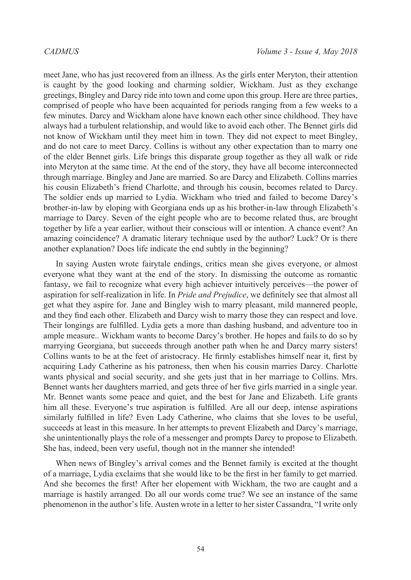meet Jane, who has just recovered from an illness. As the girls enter Meryton, their attention is caught by the good looking and charming soldier, Wickham. Just as they exchange greetings, Bingley and Darcy ride into town and come upon this group. Here are three parties, comprised of people who have been acquainted for periods ranging from a few weeks to a few minutes. Darcy and Wickham alone have known each other since childhood. They have always had a turbulent relationship, and would like to avoid each other. The Bennet girls did not know of Wickham until they meet him in town. They did not expect to meet Bingley, and do not care to meet Darcy. Collins is without any other expectation than to marry one of the elder Bennet girls. Life brings this disparate group together as they all walk or ride into Meryton at the same time. At the end of the story, they have all become interconnected through marriage. Bingley and Jane are married. So are Darcy and Elizabeth. Collins marries his cousin Elizabeth's friend Charlotte, and through his cousin, becomes related to Darcy. The soldier ends up married to Lydia. Wickham who tried and failed to become Darcy's brother-in-law by eloping with Georgiana ends up as his brother-in-law through Elizabeth's marriage to Darcy. Seven of the eight people who are to become related thus, are brought together by life a year earlier, without their conscious will or intention. A chance event? An amazing coincidence? A dramatic literary technique used by the author? Luck? Or is there another explanation? Does life indicate the end subtly in the beginning?

In saying Austen wrote fairytale endings, critics mean she gives everyone, or almost everyone what they want at the end of the story. In dismissing the outcome as romantic fantasy, we fail to recognize what every high achiever intuitively perceives—the power of aspiration for self-realization in life. In *Pride and Prejudice*, we definitely see that almost all get what they aspire for. Jane and Bingley wish to marry pleasant, mild mannered people, and they find each other. Elizabeth and Darcy wish to marry those they can respect and love. Their longings are fulfilled. Lydia gets a more than dashing husband, and adventure too in ample measure.. Wickham wants to become Darcy's brother. He hopes and fails to do so by marrying Georgiana, but succeeds through another path when he and Darcy marry sisters! Collins wants to be at the feet of aristocracy. He firmly establishes himself near it, first by acquiring Lady Catherine as his patroness, then when his cousin marries Darcy. Charlotte wants physical and social security, and she gets just that in her marriage to Collins. Mrs. Bennet wants her daughters married, and gets three of her five girls married in a single year. Mr. Bennet wants some peace and quiet, and the best for Jane and Elizabeth. Life grants him all these. Everyone's true aspiration is fulfilled. Are all our deep, intense aspirations similarly fulfilled in life? Even Lady Catherine, who claims that she loves to be useful, succeeds at least in this measure. In her attempts to prevent Elizabeth and Darcy's marriage, she unintentionally plays the role of a messenger and prompts Darcy to propose to Elizabeth. She has, indeed, been very useful, though not in the manner she intended!

When news of Bingley's arrival comes and the Bennet family is excited at the thought of a marriage, Lydia exclaims that she would like to be the first in her family to get married. And she becomes the first! After her elopement with Wickham, the two are caught and a marriage is hastily arranged. Do all our words come true? We see an instance of the same phenomenon in the author's life. Austen wrote in a letter to her sister Cassandra, "I write only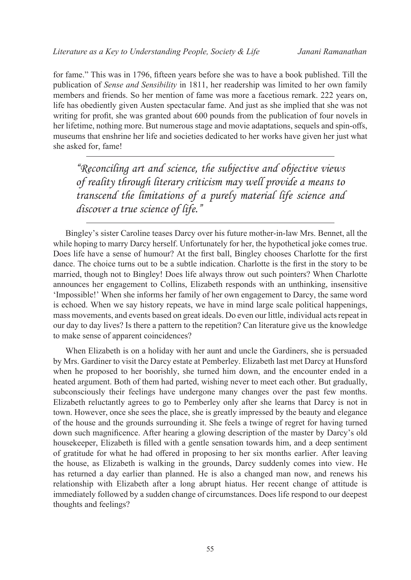for fame." This was in 1796, fifteen years before she was to have a book published. Till the publication of *Sense and Sensibility* in 1811, her readership was limited to her own family members and friends. So her mention of fame was more a facetious remark. 222 years on, life has obediently given Austen spectacular fame. And just as she implied that she was not writing for profit, she was granted about 600 pounds from the publication of four novels in her lifetime, nothing more. But numerous stage and movie adaptations, sequels and spin-offs, museums that enshrine her life and societies dedicated to her works have given her just what she asked for, fame!

*"Reconciling art and science, the subjective and objective views of reality through literary criticism may well provide a means to transcend the limitations of a purely material life science and discover a true science of life."*

Bingley's sister Caroline teases Darcy over his future mother-in-law Mrs. Bennet, all the while hoping to marry Darcy herself. Unfortunately for her, the hypothetical joke comes true. Does life have a sense of humour? At the first ball, Bingley chooses Charlotte for the first dance. The choice turns out to be a subtle indication. Charlotte is the first in the story to be married, though not to Bingley! Does life always throw out such pointers? When Charlotte announces her engagement to Collins, Elizabeth responds with an unthinking, insensitive 'Impossible!' When she informs her family of her own engagement to Darcy, the same word is echoed. When we say history repeats, we have in mind large scale political happenings, mass movements, and events based on great ideals. Do even our little, individual acts repeat in our day to day lives? Is there a pattern to the repetition? Can literature give us the knowledge to make sense of apparent coincidences?

When Elizabeth is on a holiday with her aunt and uncle the Gardiners, she is persuaded by Mrs. Gardiner to visit the Darcy estate at Pemberley. Elizabeth last met Darcy at Hunsford when he proposed to her boorishly, she turned him down, and the encounter ended in a heated argument. Both of them had parted, wishing never to meet each other. But gradually, subconsciously their feelings have undergone many changes over the past few months. Elizabeth reluctantly agrees to go to Pemberley only after she learns that Darcy is not in town. However, once she sees the place, she is greatly impressed by the beauty and elegance of the house and the grounds surrounding it. She feels a twinge of regret for having turned down such magnificence. After hearing a glowing description of the master by Darcy's old housekeeper, Elizabeth is filled with a gentle sensation towards him, and a deep sentiment of gratitude for what he had offered in proposing to her six months earlier. After leaving the house, as Elizabeth is walking in the grounds, Darcy suddenly comes into view. He has returned a day earlier than planned. He is also a changed man now, and renews his relationship with Elizabeth after a long abrupt hiatus. Her recent change of attitude is immediately followed by a sudden change of circumstances. Does life respond to our deepest thoughts and feelings?